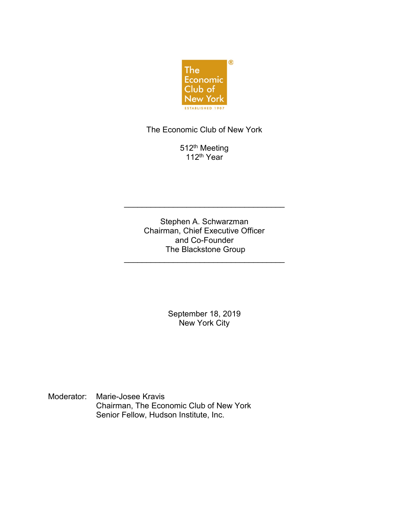

The Economic Club of New York

512<sup>th</sup> Meeting 112th Year

Stephen A. Schwarzman Chairman, Chief Executive Officer and Co-Founder The Blackstone Group

\_\_\_\_\_\_\_\_\_\_\_\_\_\_\_\_\_\_\_\_\_\_\_\_\_\_\_\_\_\_\_\_\_\_\_\_

\_\_\_\_\_\_\_\_\_\_\_\_\_\_\_\_\_\_\_\_\_\_\_\_\_\_\_\_\_\_\_\_\_\_\_\_

September 18, 2019 New York City

Moderator: Marie-Josee Kravis Chairman, The Economic Club of New York Senior Fellow, Hudson Institute, Inc.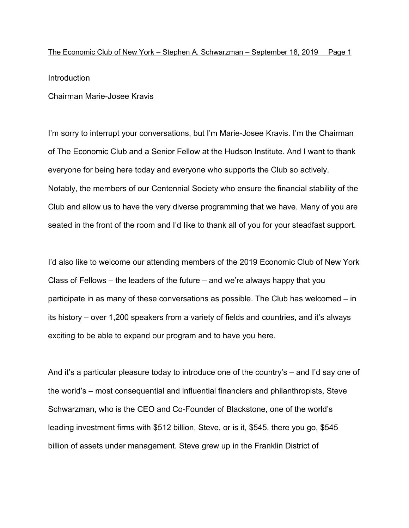Introduction

Chairman Marie-Josee Kravis

I'm sorry to interrupt your conversations, but I'm Marie-Josee Kravis. I'm the Chairman of The Economic Club and a Senior Fellow at the Hudson Institute. And I want to thank everyone for being here today and everyone who supports the Club so actively. Notably, the members of our Centennial Society who ensure the financial stability of the Club and allow us to have the very diverse programming that we have. Many of you are seated in the front of the room and I'd like to thank all of you for your steadfast support.

I'd also like to welcome our attending members of the 2019 Economic Club of New York Class of Fellows – the leaders of the future – and we're always happy that you participate in as many of these conversations as possible. The Club has welcomed – in its history – over 1,200 speakers from a variety of fields and countries, and it's always exciting to be able to expand our program and to have you here.

And it's a particular pleasure today to introduce one of the country's – and I'd say one of the world's – most consequential and influential financiers and philanthropists, Steve Schwarzman, who is the CEO and Co-Founder of Blackstone, one of the world's leading investment firms with \$512 billion, Steve, or is it, \$545, there you go, \$545 billion of assets under management. Steve grew up in the Franklin District of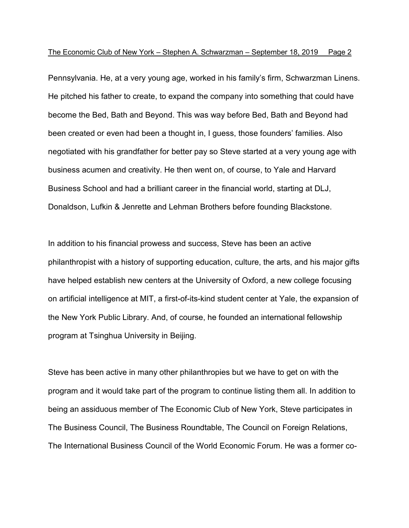Pennsylvania. He, at a very young age, worked in his family's firm, Schwarzman Linens. He pitched his father to create, to expand the company into something that could have become the Bed, Bath and Beyond. This was way before Bed, Bath and Beyond had been created or even had been a thought in, I guess, those founders' families. Also negotiated with his grandfather for better pay so Steve started at a very young age with business acumen and creativity. He then went on, of course, to Yale and Harvard Business School and had a brilliant career in the financial world, starting at DLJ, Donaldson, Lufkin & Jenrette and Lehman Brothers before founding Blackstone.

In addition to his financial prowess and success, Steve has been an active philanthropist with a history of supporting education, culture, the arts, and his major gifts have helped establish new centers at the University of Oxford, a new college focusing on artificial intelligence at MIT, a first-of-its-kind student center at Yale, the expansion of the New York Public Library. And, of course, he founded an international fellowship program at Tsinghua University in Beijing.

Steve has been active in many other philanthropies but we have to get on with the program and it would take part of the program to continue listing them all. In addition to being an assiduous member of The Economic Club of New York, Steve participates in The Business Council, The Business Roundtable, The Council on Foreign Relations, The International Business Council of the World Economic Forum. He was a former co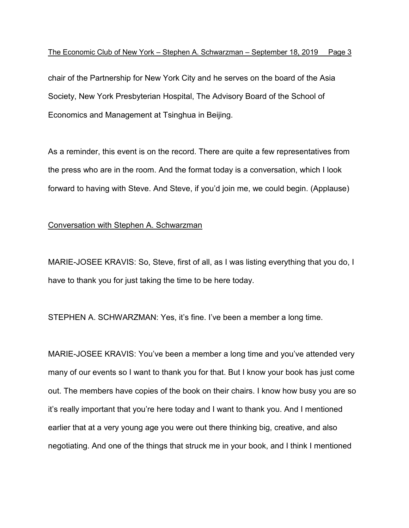chair of the Partnership for New York City and he serves on the board of the Asia Society, New York Presbyterian Hospital, The Advisory Board of the School of Economics and Management at Tsinghua in Beijing.

As a reminder, this event is on the record. There are quite a few representatives from the press who are in the room. And the format today is a conversation, which I look forward to having with Steve. And Steve, if you'd join me, we could begin. (Applause)

# Conversation with Stephen A. Schwarzman

MARIE-JOSEE KRAVIS: So, Steve, first of all, as I was listing everything that you do, I have to thank you for just taking the time to be here today.

STEPHEN A. SCHWARZMAN: Yes, it's fine. I've been a member a long time.

MARIE-JOSEE KRAVIS: You've been a member a long time and you've attended very many of our events so I want to thank you for that. But I know your book has just come out. The members have copies of the book on their chairs. I know how busy you are so it's really important that you're here today and I want to thank you. And I mentioned earlier that at a very young age you were out there thinking big, creative, and also negotiating. And one of the things that struck me in your book, and I think I mentioned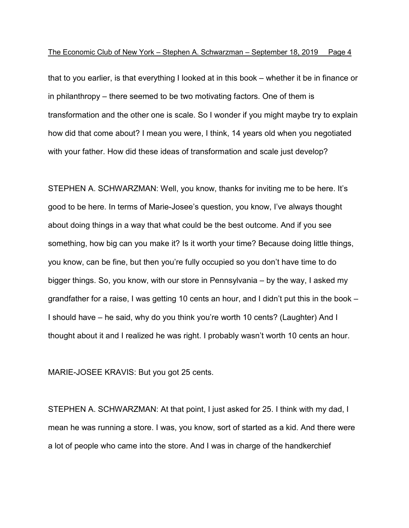that to you earlier, is that everything I looked at in this book – whether it be in finance or in philanthropy – there seemed to be two motivating factors. One of them is transformation and the other one is scale. So I wonder if you might maybe try to explain how did that come about? I mean you were, I think, 14 years old when you negotiated with your father. How did these ideas of transformation and scale just develop?

STEPHEN A. SCHWARZMAN: Well, you know, thanks for inviting me to be here. It's good to be here. In terms of Marie-Josee's question, you know, I've always thought about doing things in a way that what could be the best outcome. And if you see something, how big can you make it? Is it worth your time? Because doing little things, you know, can be fine, but then you're fully occupied so you don't have time to do bigger things. So, you know, with our store in Pennsylvania – by the way, I asked my grandfather for a raise, I was getting 10 cents an hour, and I didn't put this in the book – I should have – he said, why do you think you're worth 10 cents? (Laughter) And I thought about it and I realized he was right. I probably wasn't worth 10 cents an hour.

MARIE-JOSEE KRAVIS: But you got 25 cents.

STEPHEN A. SCHWARZMAN: At that point, I just asked for 25. I think with my dad, I mean he was running a store. I was, you know, sort of started as a kid. And there were a lot of people who came into the store. And I was in charge of the handkerchief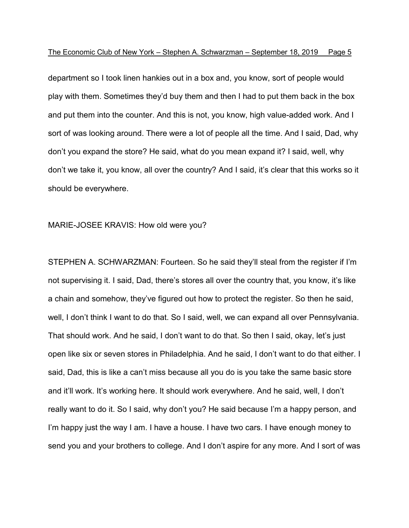department so I took linen hankies out in a box and, you know, sort of people would play with them. Sometimes they'd buy them and then I had to put them back in the box and put them into the counter. And this is not, you know, high value-added work. And I sort of was looking around. There were a lot of people all the time. And I said, Dad, why don't you expand the store? He said, what do you mean expand it? I said, well, why don't we take it, you know, all over the country? And I said, it's clear that this works so it should be everywhere.

#### MARIE-JOSEE KRAVIS: How old were you?

STEPHEN A. SCHWARZMAN: Fourteen. So he said they'll steal from the register if I'm not supervising it. I said, Dad, there's stores all over the country that, you know, it's like a chain and somehow, they've figured out how to protect the register. So then he said, well, I don't think I want to do that. So I said, well, we can expand all over Pennsylvania. That should work. And he said, I don't want to do that. So then I said, okay, let's just open like six or seven stores in Philadelphia. And he said, I don't want to do that either. I said, Dad, this is like a can't miss because all you do is you take the same basic store and it'll work. It's working here. It should work everywhere. And he said, well, I don't really want to do it. So I said, why don't you? He said because I'm a happy person, and I'm happy just the way I am. I have a house. I have two cars. I have enough money to send you and your brothers to college. And I don't aspire for any more. And I sort of was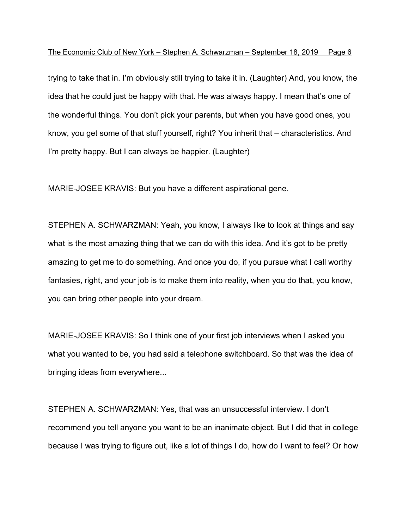trying to take that in. I'm obviously still trying to take it in. (Laughter) And, you know, the idea that he could just be happy with that. He was always happy. I mean that's one of the wonderful things. You don't pick your parents, but when you have good ones, you know, you get some of that stuff yourself, right? You inherit that – characteristics. And I'm pretty happy. But I can always be happier. (Laughter)

MARIE-JOSEE KRAVIS: But you have a different aspirational gene.

STEPHEN A. SCHWARZMAN: Yeah, you know, I always like to look at things and say what is the most amazing thing that we can do with this idea. And it's got to be pretty amazing to get me to do something. And once you do, if you pursue what I call worthy fantasies, right, and your job is to make them into reality, when you do that, you know, you can bring other people into your dream.

MARIE-JOSEE KRAVIS: So I think one of your first job interviews when I asked you what you wanted to be, you had said a telephone switchboard. So that was the idea of bringing ideas from everywhere...

STEPHEN A. SCHWARZMAN: Yes, that was an unsuccessful interview. I don't recommend you tell anyone you want to be an inanimate object. But I did that in college because I was trying to figure out, like a lot of things I do, how do I want to feel? Or how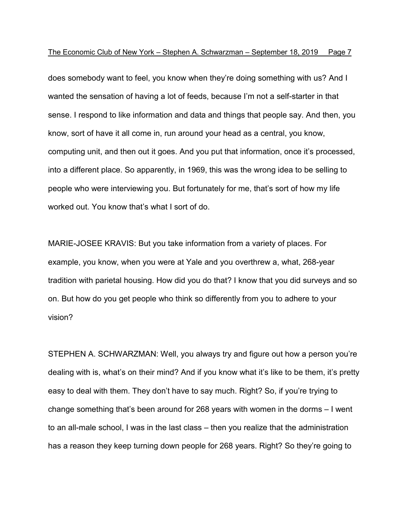does somebody want to feel, you know when they're doing something with us? And I wanted the sensation of having a lot of feeds, because I'm not a self-starter in that sense. I respond to like information and data and things that people say. And then, you know, sort of have it all come in, run around your head as a central, you know, computing unit, and then out it goes. And you put that information, once it's processed, into a different place. So apparently, in 1969, this was the wrong idea to be selling to people who were interviewing you. But fortunately for me, that's sort of how my life worked out. You know that's what I sort of do.

MARIE-JOSEE KRAVIS: But you take information from a variety of places. For example, you know, when you were at Yale and you overthrew a, what, 268-year tradition with parietal housing. How did you do that? I know that you did surveys and so on. But how do you get people who think so differently from you to adhere to your vision?

STEPHEN A. SCHWARZMAN: Well, you always try and figure out how a person you're dealing with is, what's on their mind? And if you know what it's like to be them, it's pretty easy to deal with them. They don't have to say much. Right? So, if you're trying to change something that's been around for 268 years with women in the dorms – I went to an all-male school, I was in the last class – then you realize that the administration has a reason they keep turning down people for 268 years. Right? So they're going to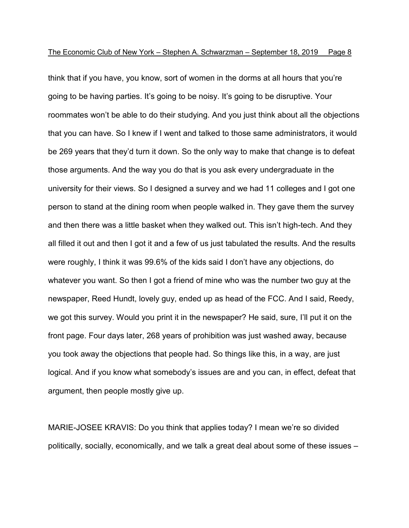think that if you have, you know, sort of women in the dorms at all hours that you're going to be having parties. It's going to be noisy. It's going to be disruptive. Your roommates won't be able to do their studying. And you just think about all the objections that you can have. So I knew if I went and talked to those same administrators, it would be 269 years that they'd turn it down. So the only way to make that change is to defeat those arguments. And the way you do that is you ask every undergraduate in the university for their views. So I designed a survey and we had 11 colleges and I got one person to stand at the dining room when people walked in. They gave them the survey and then there was a little basket when they walked out. This isn't high-tech. And they all filled it out and then I got it and a few of us just tabulated the results. And the results were roughly, I think it was 99.6% of the kids said I don't have any objections, do whatever you want. So then I got a friend of mine who was the number two guy at the newspaper, Reed Hundt, lovely guy, ended up as head of the FCC. And I said, Reedy, we got this survey. Would you print it in the newspaper? He said, sure, I'll put it on the front page. Four days later, 268 years of prohibition was just washed away, because you took away the objections that people had. So things like this, in a way, are just logical. And if you know what somebody's issues are and you can, in effect, defeat that argument, then people mostly give up.

MARIE-JOSEE KRAVIS: Do you think that applies today? I mean we're so divided politically, socially, economically, and we talk a great deal about some of these issues –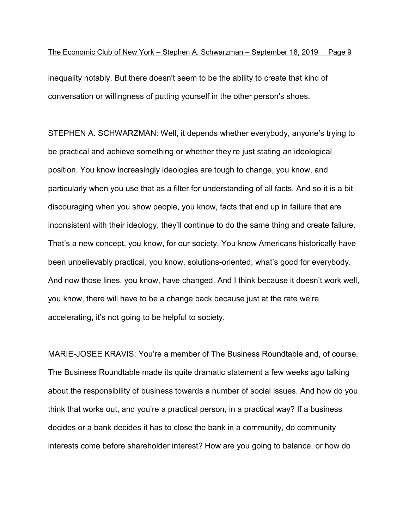inequality notably. But there doesn't seem to be the ability to create that kind of conversation or willingness of putting yourself in the other person's shoes.

STEPHEN A. SCHWARZMAN: Well, it depends whether everybody, anyone's trying to be practical and achieve something or whether they're just stating an ideological position. You know increasingly ideologies are tough to change, you know, and particularly when you use that as a filter for understanding of all facts. And so it is a bit discouraging when you show people, you know, facts that end up in failure that are inconsistent with their ideology, they'll continue to do the same thing and create failure. That's a new concept, you know, for our society. You know Americans historically have been unbelievably practical, you know, solutions-oriented, what's good for everybody. And now those lines, you know, have changed. And I think because it doesn't work well, you know, there will have to be a change back because just at the rate we're accelerating, it's not going to be helpful to society.

MARIE-JOSEE KRAVIS: You're a member of The Business Roundtable and, of course, The Business Roundtable made its quite dramatic statement a few weeks ago talking about the responsibility of business towards a number of social issues. And how do you think that works out, and you're a practical person, in a practical way? If a business decides or a bank decides it has to close the bank in a community, do community interests come before shareholder interest? How are you going to balance, or how do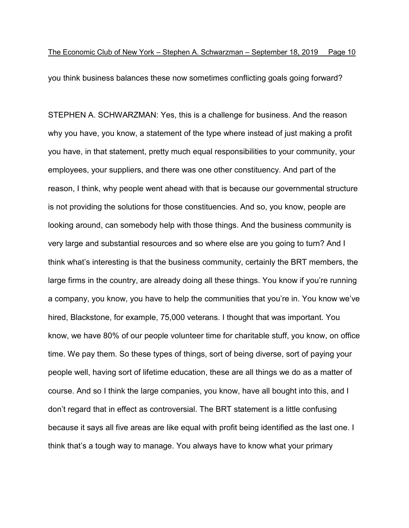you think business balances these now sometimes conflicting goals going forward?

STEPHEN A. SCHWARZMAN: Yes, this is a challenge for business. And the reason why you have, you know, a statement of the type where instead of just making a profit you have, in that statement, pretty much equal responsibilities to your community, your employees, your suppliers, and there was one other constituency. And part of the reason, I think, why people went ahead with that is because our governmental structure is not providing the solutions for those constituencies. And so, you know, people are looking around, can somebody help with those things. And the business community is very large and substantial resources and so where else are you going to turn? And I think what's interesting is that the business community, certainly the BRT members, the large firms in the country, are already doing all these things. You know if you're running a company, you know, you have to help the communities that you're in. You know we've hired, Blackstone, for example, 75,000 veterans. I thought that was important. You know, we have 80% of our people volunteer time for charitable stuff, you know, on office time. We pay them. So these types of things, sort of being diverse, sort of paying your people well, having sort of lifetime education, these are all things we do as a matter of course. And so I think the large companies, you know, have all bought into this, and I don't regard that in effect as controversial. The BRT statement is a little confusing because it says all five areas are like equal with profit being identified as the last one. I think that's a tough way to manage. You always have to know what your primary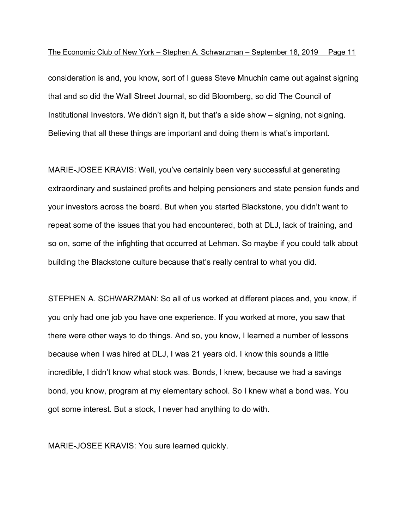consideration is and, you know, sort of I guess Steve Mnuchin came out against signing that and so did the Wall Street Journal, so did Bloomberg, so did The Council of Institutional Investors. We didn't sign it, but that's a side show – signing, not signing. Believing that all these things are important and doing them is what's important.

MARIE-JOSEE KRAVIS: Well, you've certainly been very successful at generating extraordinary and sustained profits and helping pensioners and state pension funds and your investors across the board. But when you started Blackstone, you didn't want to repeat some of the issues that you had encountered, both at DLJ, lack of training, and so on, some of the infighting that occurred at Lehman. So maybe if you could talk about building the Blackstone culture because that's really central to what you did.

STEPHEN A. SCHWARZMAN: So all of us worked at different places and, you know, if you only had one job you have one experience. If you worked at more, you saw that there were other ways to do things. And so, you know, I learned a number of lessons because when I was hired at DLJ, I was 21 years old. I know this sounds a little incredible, I didn't know what stock was. Bonds, I knew, because we had a savings bond, you know, program at my elementary school. So I knew what a bond was. You got some interest. But a stock, I never had anything to do with.

MARIE-JOSEE KRAVIS: You sure learned quickly.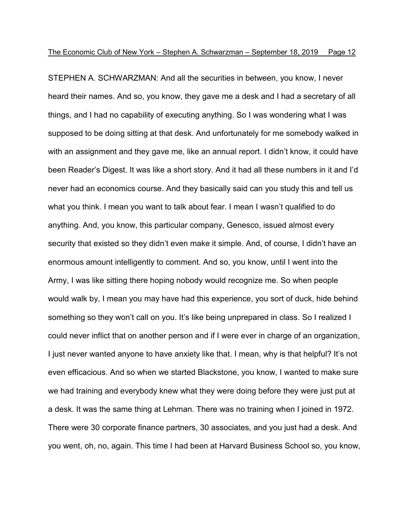STEPHEN A. SCHWARZMAN: And all the securities in between, you know, I never heard their names. And so, you know, they gave me a desk and I had a secretary of all things, and I had no capability of executing anything. So I was wondering what I was supposed to be doing sitting at that desk. And unfortunately for me somebody walked in with an assignment and they gave me, like an annual report. I didn't know, it could have been Reader's Digest. It was like a short story. And it had all these numbers in it and I'd never had an economics course. And they basically said can you study this and tell us what you think. I mean you want to talk about fear. I mean I wasn't qualified to do anything. And, you know, this particular company, Genesco, issued almost every security that existed so they didn't even make it simple. And, of course, I didn't have an enormous amount intelligently to comment. And so, you know, until I went into the Army, I was like sitting there hoping nobody would recognize me. So when people would walk by, I mean you may have had this experience, you sort of duck, hide behind something so they won't call on you. It's like being unprepared in class. So I realized I could never inflict that on another person and if I were ever in charge of an organization, I just never wanted anyone to have anxiety like that. I mean, why is that helpful? It's not even efficacious. And so when we started Blackstone, you know, I wanted to make sure we had training and everybody knew what they were doing before they were just put at a desk. It was the same thing at Lehman. There was no training when I joined in 1972. There were 30 corporate finance partners, 30 associates, and you just had a desk. And you went, oh, no, again. This time I had been at Harvard Business School so, you know,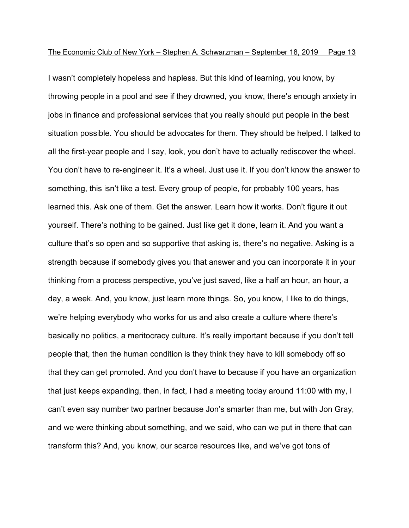I wasn't completely hopeless and hapless. But this kind of learning, you know, by throwing people in a pool and see if they drowned, you know, there's enough anxiety in jobs in finance and professional services that you really should put people in the best situation possible. You should be advocates for them. They should be helped. I talked to all the first-year people and I say, look, you don't have to actually rediscover the wheel. You don't have to re-engineer it. It's a wheel. Just use it. If you don't know the answer to something, this isn't like a test. Every group of people, for probably 100 years, has learned this. Ask one of them. Get the answer. Learn how it works. Don't figure it out yourself. There's nothing to be gained. Just like get it done, learn it. And you want a culture that's so open and so supportive that asking is, there's no negative. Asking is a strength because if somebody gives you that answer and you can incorporate it in your thinking from a process perspective, you've just saved, like a half an hour, an hour, a day, a week. And, you know, just learn more things. So, you know, I like to do things, we're helping everybody who works for us and also create a culture where there's basically no politics, a meritocracy culture. It's really important because if you don't tell people that, then the human condition is they think they have to kill somebody off so that they can get promoted. And you don't have to because if you have an organization that just keeps expanding, then, in fact, I had a meeting today around 11:00 with my, I can't even say number two partner because Jon's smarter than me, but with Jon Gray, and we were thinking about something, and we said, who can we put in there that can transform this? And, you know, our scarce resources like, and we've got tons of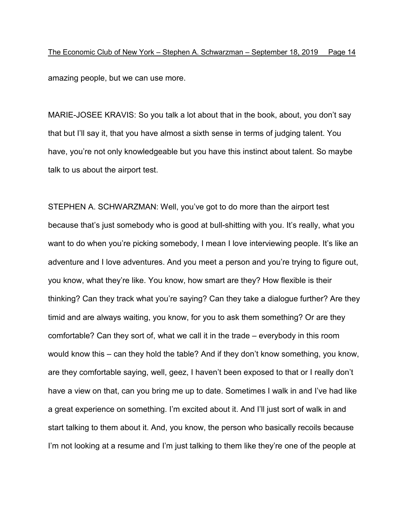The Economic Club of New York – Stephen A. Schwarzman – September 18, 2019 Page 14 amazing people, but we can use more.

MARIE-JOSEE KRAVIS: So you talk a lot about that in the book, about, you don't say that but I'll say it, that you have almost a sixth sense in terms of judging talent. You have, you're not only knowledgeable but you have this instinct about talent. So maybe talk to us about the airport test.

STEPHEN A. SCHWARZMAN: Well, you've got to do more than the airport test because that's just somebody who is good at bull-shitting with you. It's really, what you want to do when you're picking somebody, I mean I love interviewing people. It's like an adventure and I love adventures. And you meet a person and you're trying to figure out, you know, what they're like. You know, how smart are they? How flexible is their thinking? Can they track what you're saying? Can they take a dialogue further? Are they timid and are always waiting, you know, for you to ask them something? Or are they comfortable? Can they sort of, what we call it in the trade – everybody in this room would know this – can they hold the table? And if they don't know something, you know, are they comfortable saying, well, geez, I haven't been exposed to that or I really don't have a view on that, can you bring me up to date. Sometimes I walk in and I've had like a great experience on something. I'm excited about it. And I'll just sort of walk in and start talking to them about it. And, you know, the person who basically recoils because I'm not looking at a resume and I'm just talking to them like they're one of the people at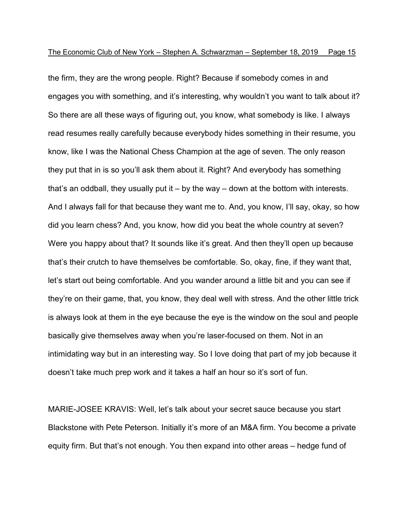the firm, they are the wrong people. Right? Because if somebody comes in and engages you with something, and it's interesting, why wouldn't you want to talk about it? So there are all these ways of figuring out, you know, what somebody is like. I always read resumes really carefully because everybody hides something in their resume, you know, like I was the National Chess Champion at the age of seven. The only reason they put that in is so you'll ask them about it. Right? And everybody has something that's an oddball, they usually put it  $-$  by the way  $-$  down at the bottom with interests. And I always fall for that because they want me to. And, you know, I'll say, okay, so how did you learn chess? And, you know, how did you beat the whole country at seven? Were you happy about that? It sounds like it's great. And then they'll open up because that's their crutch to have themselves be comfortable. So, okay, fine, if they want that, let's start out being comfortable. And you wander around a little bit and you can see if they're on their game, that, you know, they deal well with stress. And the other little trick is always look at them in the eye because the eye is the window on the soul and people basically give themselves away when you're laser-focused on them. Not in an intimidating way but in an interesting way. So I love doing that part of my job because it doesn't take much prep work and it takes a half an hour so it's sort of fun.

MARIE-JOSEE KRAVIS: Well, let's talk about your secret sauce because you start Blackstone with Pete Peterson. Initially it's more of an M&A firm. You become a private equity firm. But that's not enough. You then expand into other areas – hedge fund of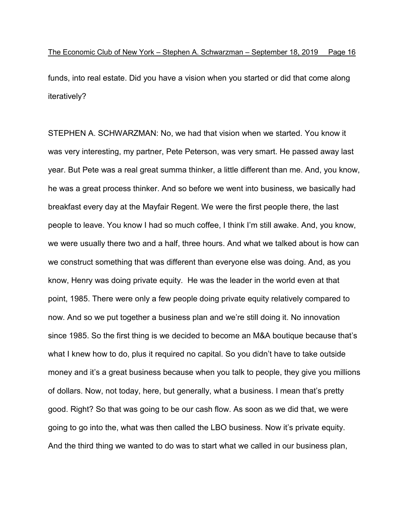funds, into real estate. Did you have a vision when you started or did that come along iteratively?

STEPHEN A. SCHWARZMAN: No, we had that vision when we started. You know it was very interesting, my partner, Pete Peterson, was very smart. He passed away last year. But Pete was a real great summa thinker, a little different than me. And, you know, he was a great process thinker. And so before we went into business, we basically had breakfast every day at the Mayfair Regent. We were the first people there, the last people to leave. You know I had so much coffee, I think I'm still awake. And, you know, we were usually there two and a half, three hours. And what we talked about is how can we construct something that was different than everyone else was doing. And, as you know, Henry was doing private equity. He was the leader in the world even at that point, 1985. There were only a few people doing private equity relatively compared to now. And so we put together a business plan and we're still doing it. No innovation since 1985. So the first thing is we decided to become an M&A boutique because that's what I knew how to do, plus it required no capital. So you didn't have to take outside money and it's a great business because when you talk to people, they give you millions of dollars. Now, not today, here, but generally, what a business. I mean that's pretty good. Right? So that was going to be our cash flow. As soon as we did that, we were going to go into the, what was then called the LBO business. Now it's private equity. And the third thing we wanted to do was to start what we called in our business plan,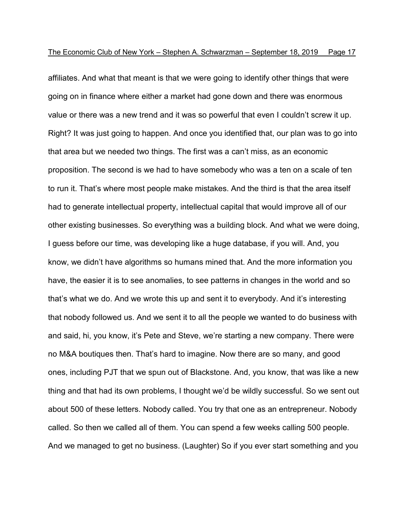affiliates. And what that meant is that we were going to identify other things that were going on in finance where either a market had gone down and there was enormous value or there was a new trend and it was so powerful that even I couldn't screw it up. Right? It was just going to happen. And once you identified that, our plan was to go into that area but we needed two things. The first was a can't miss, as an economic proposition. The second is we had to have somebody who was a ten on a scale of ten to run it. That's where most people make mistakes. And the third is that the area itself had to generate intellectual property, intellectual capital that would improve all of our other existing businesses. So everything was a building block. And what we were doing, I guess before our time, was developing like a huge database, if you will. And, you know, we didn't have algorithms so humans mined that. And the more information you have, the easier it is to see anomalies, to see patterns in changes in the world and so that's what we do. And we wrote this up and sent it to everybody. And it's interesting that nobody followed us. And we sent it to all the people we wanted to do business with and said, hi, you know, it's Pete and Steve, we're starting a new company. There were no M&A boutiques then. That's hard to imagine. Now there are so many, and good ones, including PJT that we spun out of Blackstone. And, you know, that was like a new thing and that had its own problems, I thought we'd be wildly successful. So we sent out about 500 of these letters. Nobody called. You try that one as an entrepreneur. Nobody called. So then we called all of them. You can spend a few weeks calling 500 people. And we managed to get no business. (Laughter) So if you ever start something and you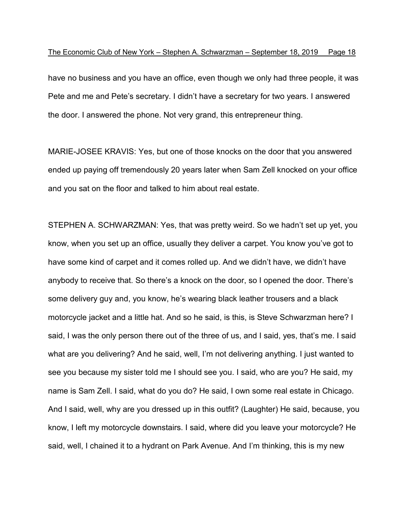have no business and you have an office, even though we only had three people, it was Pete and me and Pete's secretary. I didn't have a secretary for two years. I answered the door. I answered the phone. Not very grand, this entrepreneur thing.

MARIE-JOSEE KRAVIS: Yes, but one of those knocks on the door that you answered ended up paying off tremendously 20 years later when Sam Zell knocked on your office and you sat on the floor and talked to him about real estate.

STEPHEN A. SCHWARZMAN: Yes, that was pretty weird. So we hadn't set up yet, you know, when you set up an office, usually they deliver a carpet. You know you've got to have some kind of carpet and it comes rolled up. And we didn't have, we didn't have anybody to receive that. So there's a knock on the door, so I opened the door. There's some delivery guy and, you know, he's wearing black leather trousers and a black motorcycle jacket and a little hat. And so he said, is this, is Steve Schwarzman here? I said, I was the only person there out of the three of us, and I said, yes, that's me. I said what are you delivering? And he said, well, I'm not delivering anything. I just wanted to see you because my sister told me I should see you. I said, who are you? He said, my name is Sam Zell. I said, what do you do? He said, I own some real estate in Chicago. And I said, well, why are you dressed up in this outfit? (Laughter) He said, because, you know, I left my motorcycle downstairs. I said, where did you leave your motorcycle? He said, well, I chained it to a hydrant on Park Avenue. And I'm thinking, this is my new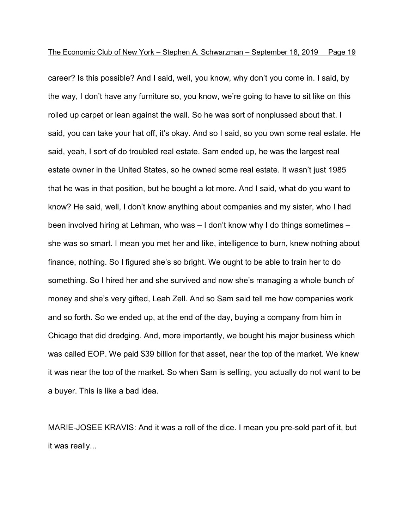career? Is this possible? And I said, well, you know, why don't you come in. I said, by the way, I don't have any furniture so, you know, we're going to have to sit like on this rolled up carpet or lean against the wall. So he was sort of nonplussed about that. I said, you can take your hat off, it's okay. And so I said, so you own some real estate. He said, yeah, I sort of do troubled real estate. Sam ended up, he was the largest real estate owner in the United States, so he owned some real estate. It wasn't just 1985 that he was in that position, but he bought a lot more. And I said, what do you want to know? He said, well, I don't know anything about companies and my sister, who I had been involved hiring at Lehman, who was – I don't know why I do things sometimes – she was so smart. I mean you met her and like, intelligence to burn, knew nothing about finance, nothing. So I figured she's so bright. We ought to be able to train her to do something. So I hired her and she survived and now she's managing a whole bunch of money and she's very gifted, Leah Zell. And so Sam said tell me how companies work and so forth. So we ended up, at the end of the day, buying a company from him in Chicago that did dredging. And, more importantly, we bought his major business which was called EOP. We paid \$39 billion for that asset, near the top of the market. We knew it was near the top of the market. So when Sam is selling, you actually do not want to be a buyer. This is like a bad idea.

MARIE-JOSEE KRAVIS: And it was a roll of the dice. I mean you pre-sold part of it, but it was really...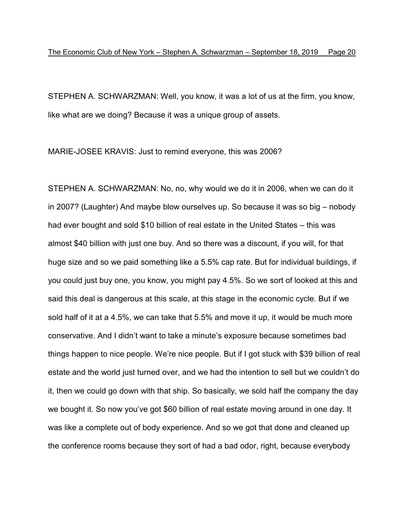STEPHEN A. SCHWARZMAN: Well, you know, it was a lot of us at the firm, you know, like what are we doing? Because it was a unique group of assets.

MARIE-JOSEE KRAVIS: Just to remind everyone, this was 2006?

STEPHEN A. SCHWARZMAN: No, no, why would we do it in 2006, when we can do it in 2007? (Laughter) And maybe blow ourselves up. So because it was so big – nobody had ever bought and sold \$10 billion of real estate in the United States – this was almost \$40 billion with just one buy. And so there was a discount, if you will, for that huge size and so we paid something like a 5.5% cap rate. But for individual buildings, if you could just buy one, you know, you might pay 4.5%. So we sort of looked at this and said this deal is dangerous at this scale, at this stage in the economic cycle. But if we sold half of it at a 4.5%, we can take that 5.5% and move it up, it would be much more conservative. And I didn't want to take a minute's exposure because sometimes bad things happen to nice people. We're nice people. But if I got stuck with \$39 billion of real estate and the world just turned over, and we had the intention to sell but we couldn't do it, then we could go down with that ship. So basically, we sold half the company the day we bought it. So now you've got \$60 billion of real estate moving around in one day. It was like a complete out of body experience. And so we got that done and cleaned up the conference rooms because they sort of had a bad odor, right, because everybody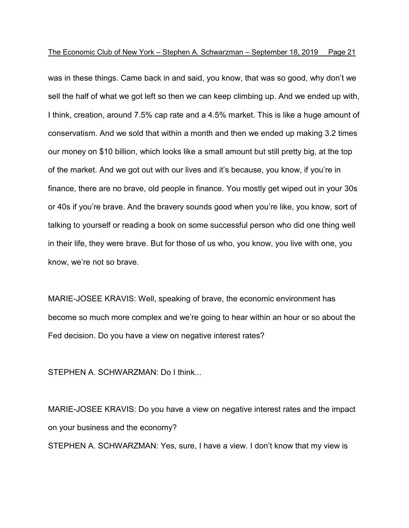was in these things. Came back in and said, you know, that was so good, why don't we sell the half of what we got left so then we can keep climbing up. And we ended up with, I think, creation, around 7.5% cap rate and a 4.5% market. This is like a huge amount of conservatism. And we sold that within a month and then we ended up making 3.2 times our money on \$10 billion, which looks like a small amount but still pretty big, at the top of the market. And we got out with our lives and it's because, you know, if you're in finance, there are no brave, old people in finance. You mostly get wiped out in your 30s or 40s if you're brave. And the bravery sounds good when you're like, you know, sort of talking to yourself or reading a book on some successful person who did one thing well in their life, they were brave. But for those of us who, you know, you live with one, you know, we're not so brave.

MARIE-JOSEE KRAVIS: Well, speaking of brave, the economic environment has become so much more complex and we're going to hear within an hour or so about the Fed decision. Do you have a view on negative interest rates?

STEPHEN A. SCHWARZMAN: Do I think...

MARIE-JOSEE KRAVIS: Do you have a view on negative interest rates and the impact on your business and the economy? STEPHEN A. SCHWARZMAN: Yes, sure, I have a view. I don't know that my view is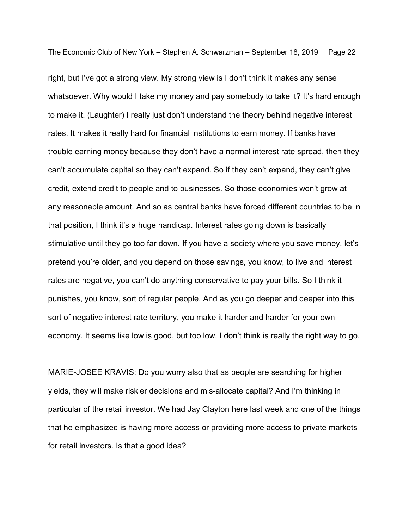right, but I've got a strong view. My strong view is I don't think it makes any sense whatsoever. Why would I take my money and pay somebody to take it? It's hard enough to make it. (Laughter) I really just don't understand the theory behind negative interest rates. It makes it really hard for financial institutions to earn money. If banks have trouble earning money because they don't have a normal interest rate spread, then they can't accumulate capital so they can't expand. So if they can't expand, they can't give credit, extend credit to people and to businesses. So those economies won't grow at any reasonable amount. And so as central banks have forced different countries to be in that position, I think it's a huge handicap. Interest rates going down is basically stimulative until they go too far down. If you have a society where you save money, let's pretend you're older, and you depend on those savings, you know, to live and interest rates are negative, you can't do anything conservative to pay your bills. So I think it punishes, you know, sort of regular people. And as you go deeper and deeper into this sort of negative interest rate territory, you make it harder and harder for your own economy. It seems like low is good, but too low, I don't think is really the right way to go.

MARIE-JOSEE KRAVIS: Do you worry also that as people are searching for higher yields, they will make riskier decisions and mis-allocate capital? And I'm thinking in particular of the retail investor. We had Jay Clayton here last week and one of the things that he emphasized is having more access or providing more access to private markets for retail investors. Is that a good idea?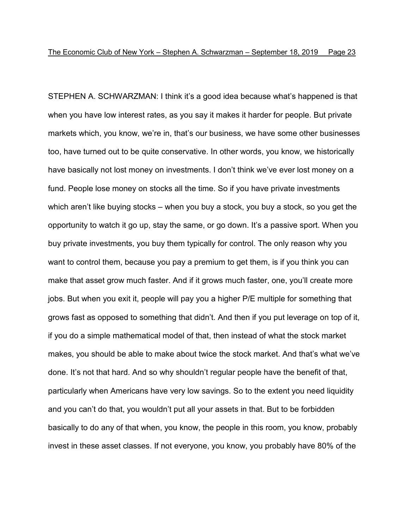STEPHEN A. SCHWARZMAN: I think it's a good idea because what's happened is that when you have low interest rates, as you say it makes it harder for people. But private markets which, you know, we're in, that's our business, we have some other businesses too, have turned out to be quite conservative. In other words, you know, we historically have basically not lost money on investments. I don't think we've ever lost money on a fund. People lose money on stocks all the time. So if you have private investments which aren't like buying stocks – when you buy a stock, you buy a stock, so you get the opportunity to watch it go up, stay the same, or go down. It's a passive sport. When you buy private investments, you buy them typically for control. The only reason why you want to control them, because you pay a premium to get them, is if you think you can make that asset grow much faster. And if it grows much faster, one, you'll create more jobs. But when you exit it, people will pay you a higher P/E multiple for something that grows fast as opposed to something that didn't. And then if you put leverage on top of it, if you do a simple mathematical model of that, then instead of what the stock market makes, you should be able to make about twice the stock market. And that's what we've done. It's not that hard. And so why shouldn't regular people have the benefit of that, particularly when Americans have very low savings. So to the extent you need liquidity and you can't do that, you wouldn't put all your assets in that. But to be forbidden basically to do any of that when, you know, the people in this room, you know, probably invest in these asset classes. If not everyone, you know, you probably have 80% of the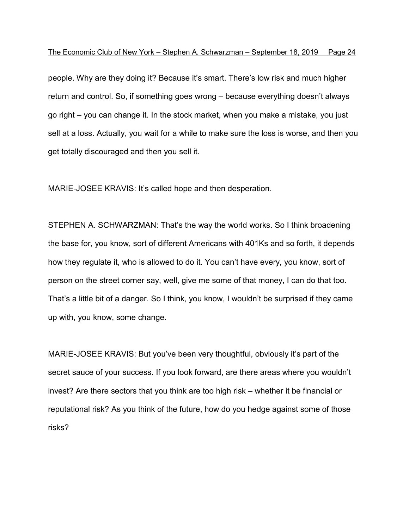people. Why are they doing it? Because it's smart. There's low risk and much higher return and control. So, if something goes wrong – because everything doesn't always go right – you can change it. In the stock market, when you make a mistake, you just sell at a loss. Actually, you wait for a while to make sure the loss is worse, and then you get totally discouraged and then you sell it.

MARIE-JOSEE KRAVIS: It's called hope and then desperation.

STEPHEN A. SCHWARZMAN: That's the way the world works. So I think broadening the base for, you know, sort of different Americans with 401Ks and so forth, it depends how they regulate it, who is allowed to do it. You can't have every, you know, sort of person on the street corner say, well, give me some of that money, I can do that too. That's a little bit of a danger. So I think, you know, I wouldn't be surprised if they came up with, you know, some change.

MARIE-JOSEE KRAVIS: But you've been very thoughtful, obviously it's part of the secret sauce of your success. If you look forward, are there areas where you wouldn't invest? Are there sectors that you think are too high risk – whether it be financial or reputational risk? As you think of the future, how do you hedge against some of those risks?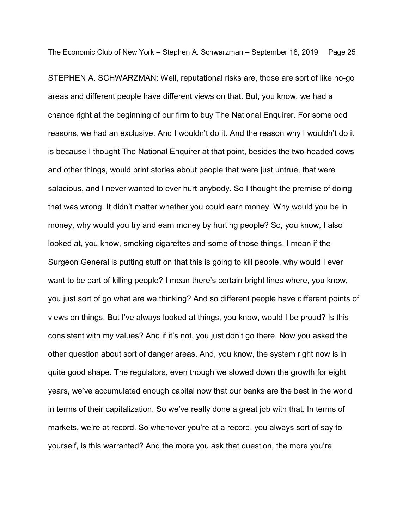STEPHEN A. SCHWARZMAN: Well, reputational risks are, those are sort of like no-go areas and different people have different views on that. But, you know, we had a chance right at the beginning of our firm to buy The National Enquirer. For some odd reasons, we had an exclusive. And I wouldn't do it. And the reason why I wouldn't do it is because I thought The National Enquirer at that point, besides the two-headed cows and other things, would print stories about people that were just untrue, that were salacious, and I never wanted to ever hurt anybody. So I thought the premise of doing that was wrong. It didn't matter whether you could earn money. Why would you be in money, why would you try and earn money by hurting people? So, you know, I also looked at, you know, smoking cigarettes and some of those things. I mean if the Surgeon General is putting stuff on that this is going to kill people, why would I ever want to be part of killing people? I mean there's certain bright lines where, you know, you just sort of go what are we thinking? And so different people have different points of views on things. But I've always looked at things, you know, would I be proud? Is this consistent with my values? And if it's not, you just don't go there. Now you asked the other question about sort of danger areas. And, you know, the system right now is in quite good shape. The regulators, even though we slowed down the growth for eight years, we've accumulated enough capital now that our banks are the best in the world in terms of their capitalization. So we've really done a great job with that. In terms of markets, we're at record. So whenever you're at a record, you always sort of say to yourself, is this warranted? And the more you ask that question, the more you're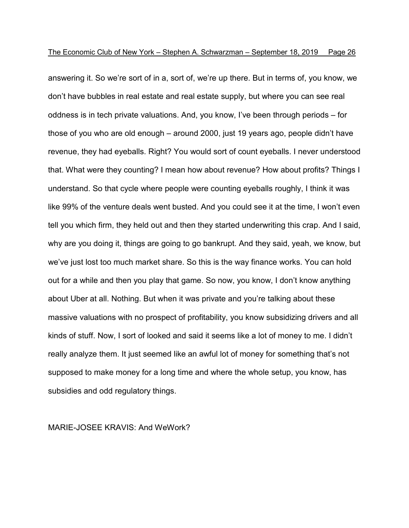answering it. So we're sort of in a, sort of, we're up there. But in terms of, you know, we don't have bubbles in real estate and real estate supply, but where you can see real oddness is in tech private valuations. And, you know, I've been through periods – for those of you who are old enough – around 2000, just 19 years ago, people didn't have revenue, they had eyeballs. Right? You would sort of count eyeballs. I never understood that. What were they counting? I mean how about revenue? How about profits? Things I understand. So that cycle where people were counting eyeballs roughly, I think it was like 99% of the venture deals went busted. And you could see it at the time, I won't even tell you which firm, they held out and then they started underwriting this crap. And I said, why are you doing it, things are going to go bankrupt. And they said, yeah, we know, but we've just lost too much market share. So this is the way finance works. You can hold out for a while and then you play that game. So now, you know, I don't know anything about Uber at all. Nothing. But when it was private and you're talking about these massive valuations with no prospect of profitability, you know subsidizing drivers and all kinds of stuff. Now, I sort of looked and said it seems like a lot of money to me. I didn't really analyze them. It just seemed like an awful lot of money for something that's not supposed to make money for a long time and where the whole setup, you know, has subsidies and odd regulatory things.

#### MARIE-JOSEE KRAVIS: And WeWork?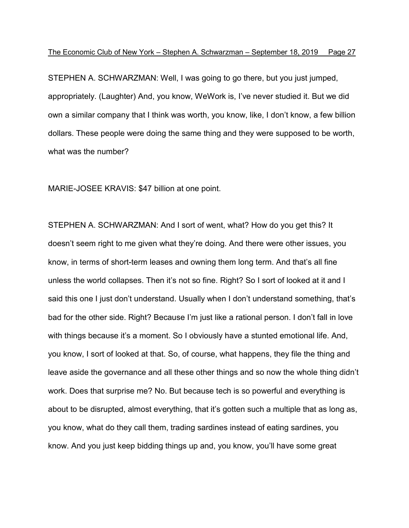STEPHEN A. SCHWARZMAN: Well, I was going to go there, but you just jumped, appropriately. (Laughter) And, you know, WeWork is, I've never studied it. But we did own a similar company that I think was worth, you know, like, I don't know, a few billion dollars. These people were doing the same thing and they were supposed to be worth, what was the number?

MARIE-JOSEE KRAVIS: \$47 billion at one point.

STEPHEN A. SCHWARZMAN: And I sort of went, what? How do you get this? It doesn't seem right to me given what they're doing. And there were other issues, you know, in terms of short-term leases and owning them long term. And that's all fine unless the world collapses. Then it's not so fine. Right? So I sort of looked at it and I said this one I just don't understand. Usually when I don't understand something, that's bad for the other side. Right? Because I'm just like a rational person. I don't fall in love with things because it's a moment. So I obviously have a stunted emotional life. And, you know, I sort of looked at that. So, of course, what happens, they file the thing and leave aside the governance and all these other things and so now the whole thing didn't work. Does that surprise me? No. But because tech is so powerful and everything is about to be disrupted, almost everything, that it's gotten such a multiple that as long as, you know, what do they call them, trading sardines instead of eating sardines, you know. And you just keep bidding things up and, you know, you'll have some great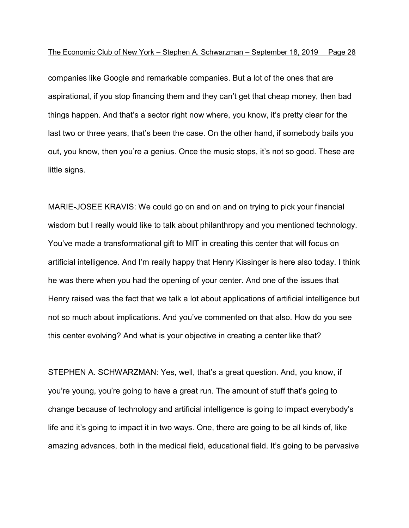companies like Google and remarkable companies. But a lot of the ones that are aspirational, if you stop financing them and they can't get that cheap money, then bad things happen. And that's a sector right now where, you know, it's pretty clear for the last two or three years, that's been the case. On the other hand, if somebody bails you out, you know, then you're a genius. Once the music stops, it's not so good. These are little signs.

MARIE-JOSEE KRAVIS: We could go on and on and on trying to pick your financial wisdom but I really would like to talk about philanthropy and you mentioned technology. You've made a transformational gift to MIT in creating this center that will focus on artificial intelligence. And I'm really happy that Henry Kissinger is here also today. I think he was there when you had the opening of your center. And one of the issues that Henry raised was the fact that we talk a lot about applications of artificial intelligence but not so much about implications. And you've commented on that also. How do you see this center evolving? And what is your objective in creating a center like that?

STEPHEN A. SCHWARZMAN: Yes, well, that's a great question. And, you know, if you're young, you're going to have a great run. The amount of stuff that's going to change because of technology and artificial intelligence is going to impact everybody's life and it's going to impact it in two ways. One, there are going to be all kinds of, like amazing advances, both in the medical field, educational field. It's going to be pervasive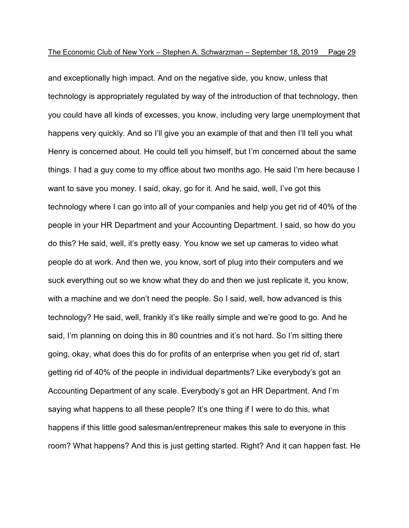and exceptionally high impact. And on the negative side, you know, unless that technology is appropriately regulated by way of the introduction of that technology, then you could have all kinds of excesses, you know, including very large unemployment that happens very quickly. And so I'll give you an example of that and then I'll tell you what Henry is concerned about. He could tell you himself, but I'm concerned about the same things. I had a guy come to my office about two months ago. He said I'm here because I want to save you money. I said, okay, go for it. And he said, well, I've got this technology where I can go into all of your companies and help you get rid of 40% of the people in your HR Department and your Accounting Department. I said, so how do you do this? He said, well, it's pretty easy. You know we set up cameras to video what people do at work. And then we, you know, sort of plug into their computers and we suck everything out so we know what they do and then we just replicate it, you know, with a machine and we don't need the people. So I said, well, how advanced is this technology? He said, well, frankly it's like really simple and we're good to go. And he said, I'm planning on doing this in 80 countries and it's not hard. So I'm sitting there going, okay, what does this do for profits of an enterprise when you get rid of, start getting rid of 40% of the people in individual departments? Like everybody's got an Accounting Department of any scale. Everybody's got an HR Department. And I'm saying what happens to all these people? It's one thing if I were to do this, what happens if this little good salesman/entrepreneur makes this sale to everyone in this room? What happens? And this is just getting started. Right? And it can happen fast. He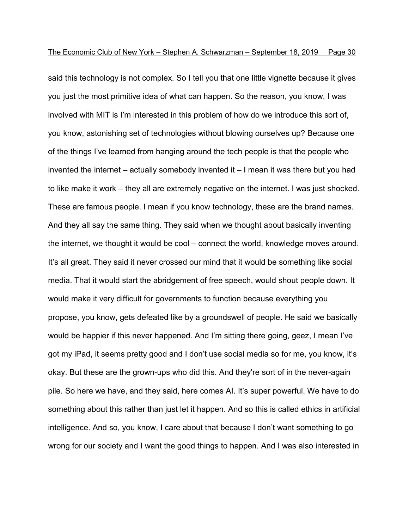said this technology is not complex. So I tell you that one little vignette because it gives you just the most primitive idea of what can happen. So the reason, you know, I was involved with MIT is I'm interested in this problem of how do we introduce this sort of, you know, astonishing set of technologies without blowing ourselves up? Because one of the things I've learned from hanging around the tech people is that the people who invented the internet – actually somebody invented it – I mean it was there but you had to like make it work – they all are extremely negative on the internet. I was just shocked. These are famous people. I mean if you know technology, these are the brand names. And they all say the same thing. They said when we thought about basically inventing the internet, we thought it would be cool – connect the world, knowledge moves around. It's all great. They said it never crossed our mind that it would be something like social media. That it would start the abridgement of free speech, would shout people down. It would make it very difficult for governments to function because everything you propose, you know, gets defeated like by a groundswell of people. He said we basically would be happier if this never happened. And I'm sitting there going, geez, I mean I've got my iPad, it seems pretty good and I don't use social media so for me, you know, it's okay. But these are the grown-ups who did this. And they're sort of in the never-again pile. So here we have, and they said, here comes AI. It's super powerful. We have to do something about this rather than just let it happen. And so this is called ethics in artificial intelligence. And so, you know, I care about that because I don't want something to go wrong for our society and I want the good things to happen. And I was also interested in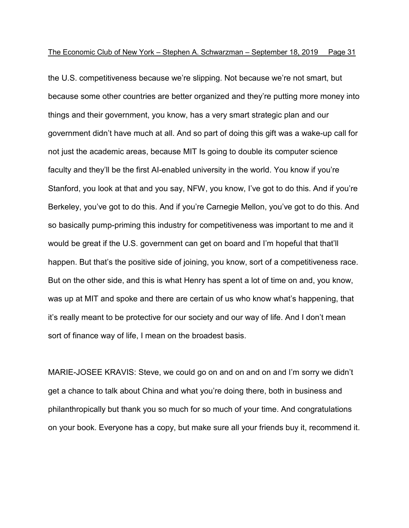the U.S. competitiveness because we're slipping. Not because we're not smart, but because some other countries are better organized and they're putting more money into things and their government, you know, has a very smart strategic plan and our government didn't have much at all. And so part of doing this gift was a wake-up call for not just the academic areas, because MIT Is going to double its computer science faculty and they'll be the first AI-enabled university in the world. You know if you're Stanford, you look at that and you say, NFW, you know, I've got to do this. And if you're Berkeley, you've got to do this. And if you're Carnegie Mellon, you've got to do this. And so basically pump-priming this industry for competitiveness was important to me and it would be great if the U.S. government can get on board and I'm hopeful that that'll happen. But that's the positive side of joining, you know, sort of a competitiveness race. But on the other side, and this is what Henry has spent a lot of time on and, you know, was up at MIT and spoke and there are certain of us who know what's happening, that it's really meant to be protective for our society and our way of life. And I don't mean sort of finance way of life, I mean on the broadest basis.

MARIE-JOSEE KRAVIS: Steve, we could go on and on and on and I'm sorry we didn't get a chance to talk about China and what you're doing there, both in business and philanthropically but thank you so much for so much of your time. And congratulations on your book. Everyone has a copy, but make sure all your friends buy it, recommend it.